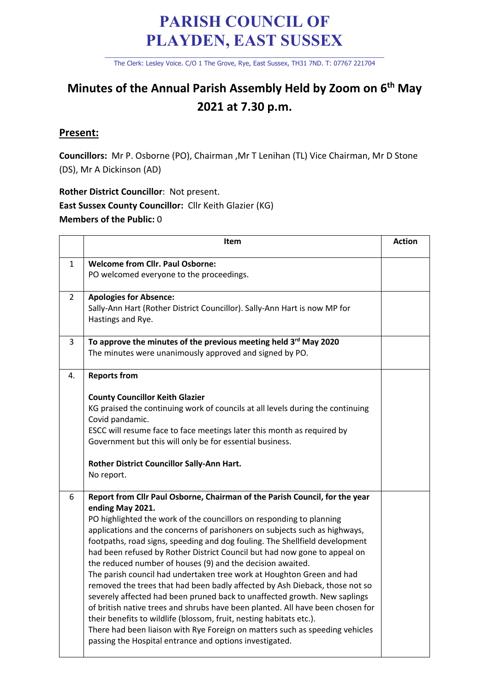## **PARISH COUNCIL OF PLAYDEN, EAST SUSSEX**

\_\_\_\_\_\_\_\_\_\_\_\_\_\_\_\_\_\_\_\_\_\_\_\_\_\_\_\_\_\_\_\_\_\_\_\_\_\_\_\_\_\_\_\_\_\_\_\_\_\_\_\_\_\_\_\_\_\_\_\_\_\_\_\_\_\_\_\_ The Clerk: Lesley Voice. C/O 1 The Grove, Rye, East Sussex, TH31 7ND. T: 07767 221704

## **Minutes of the Annual Parish Assembly Held by Zoom on 6th May 2021 at 7.30 p.m.**

## **Present:**

**Councillors:** Mr P. Osborne (PO), Chairman ,Mr T Lenihan (TL) Vice Chairman, Mr D Stone (DS), Mr A Dickinson (AD)

**Rother District Councillor**: Not present. **East Sussex County Councillor:** Cllr Keith Glazier (KG) **Members of the Public:** 0

|                | Item                                                                                                                                                                                                                                                                                                                                                                                                                                                                                                                                                                                                                                                                                                                                                                                                                                                                                                                                                                                                                     | <b>Action</b> |
|----------------|--------------------------------------------------------------------------------------------------------------------------------------------------------------------------------------------------------------------------------------------------------------------------------------------------------------------------------------------------------------------------------------------------------------------------------------------------------------------------------------------------------------------------------------------------------------------------------------------------------------------------------------------------------------------------------------------------------------------------------------------------------------------------------------------------------------------------------------------------------------------------------------------------------------------------------------------------------------------------------------------------------------------------|---------------|
| $\mathbf{1}$   | <b>Welcome from Cllr. Paul Osborne:</b><br>PO welcomed everyone to the proceedings.                                                                                                                                                                                                                                                                                                                                                                                                                                                                                                                                                                                                                                                                                                                                                                                                                                                                                                                                      |               |
| $\overline{2}$ | <b>Apologies for Absence:</b><br>Sally-Ann Hart (Rother District Councillor). Sally-Ann Hart is now MP for<br>Hastings and Rye.                                                                                                                                                                                                                                                                                                                                                                                                                                                                                                                                                                                                                                                                                                                                                                                                                                                                                          |               |
| 3              | To approve the minutes of the previous meeting held 3rd May 2020<br>The minutes were unanimously approved and signed by PO.                                                                                                                                                                                                                                                                                                                                                                                                                                                                                                                                                                                                                                                                                                                                                                                                                                                                                              |               |
| 4.             | <b>Reports from</b><br><b>County Councillor Keith Glazier</b><br>KG praised the continuing work of councils at all levels during the continuing<br>Covid pandamic.<br>ESCC will resume face to face meetings later this month as required by<br>Government but this will only be for essential business.<br>Rother District Councillor Sally-Ann Hart.<br>No report.                                                                                                                                                                                                                                                                                                                                                                                                                                                                                                                                                                                                                                                     |               |
| 6              | Report from Cllr Paul Osborne, Chairman of the Parish Council, for the year<br>ending May 2021.<br>PO highlighted the work of the councillors on responding to planning<br>applications and the concerns of parishoners on subjects such as highways,<br>footpaths, road signs, speeding and dog fouling. The Shellfield development<br>had been refused by Rother District Council but had now gone to appeal on<br>the reduced number of houses (9) and the decision awaited.<br>The parish council had undertaken tree work at Houghton Green and had<br>removed the trees that had been badly affected by Ash Dieback, those not so<br>severely affected had been pruned back to unaffected growth. New saplings<br>of british native trees and shrubs have been planted. All have been chosen for<br>their benefits to wildlife (blossom, fruit, nesting habitats etc.).<br>There had been liaison with Rye Foreign on matters such as speeding vehicles<br>passing the Hospital entrance and options investigated. |               |